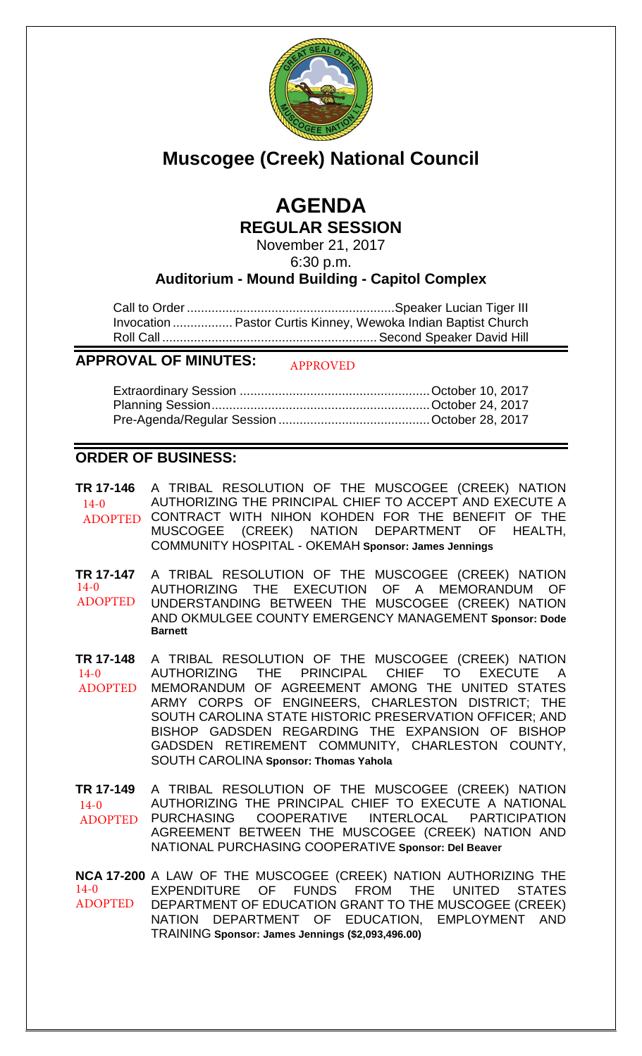

# **Muscogee (Creek) National Council**

# **AGENDA REGULAR SESSION**

November 21, 2017 6:30 p.m.

**Auditorium - Mound Building - Capitol Complex**

Call to Order ........................................................... Speaker Lucian Tiger III Invocation ................. Pastor Curtis Kinney, Wewoka Indian Baptist Church Roll Call ............................................................. Second Speaker David Hill

#### **APPROVAL OF MINUTES:** APPROVED

## **ORDER OF BUSINESS:**

**TR 17-146** A TRIBAL RESOLUTION OF THE MUSCOGEE (CREEK) NATION AUTHORIZING THE PRINCIPAL CHIEF TO ACCEPT AND EXECUTE A ADOPTED CONTRACT WITH NIHON KOHDEN FOR THE BENEFIT OF THE MUSCOGEE (CREEK) NATION DEPARTMENT OF HEALTH, COMMUNITY HOSPITAL - OKEMAH **Sponsor: James Jennings**  $14-0$ 

**TR 17-147** A TRIBAL RESOLUTION OF THE MUSCOGEE (CREEK) NATION AUTHORIZING THE EXECUTION OF A MEMORANDUM OF UNDERSTANDING BETWEEN THE MUSCOGEE (CREEK) NATION AND OKMULGEE COUNTY EMERGENCY MANAGEMENT **Sponsor: Dode Barnett** 14-0 ADOPTED

**TR 17-148** A TRIBAL RESOLUTION OF THE MUSCOGEE (CREEK) NATION AUTHORIZING THE PRINCIPAL CHIEF TO EXECUTE A MEMORANDUM OF AGREEMENT AMONG THE UNITED STATES ARMY CORPS OF ENGINEERS, CHARLESTON DISTRICT; THE SOUTH CAROLINA STATE HISTORIC PRESERVATION OFFICER; AND BISHOP GADSDEN REGARDING THE EXPANSION OF BISHOP GADSDEN RETIREMENT COMMUNITY, CHARLESTON COUNTY, SOUTH CAROLINA **Sponsor: Thomas Yahola**  $14-0$ ADOPTED

**TR 17-149** A TRIBAL RESOLUTION OF THE MUSCOGEE (CREEK) NATION AUTHORIZING THE PRINCIPAL CHIEF TO EXECUTE A NATIONAL<br>PURCHASING COOPERATIVE INTERLOCAL PARTICIPATION PURCHASING COOPERATIVE INTERLOCAL PARTICIPATION AGREEMENT BETWEEN THE MUSCOGEE (CREEK) NATION AND NATIONAL PURCHASING COOPERATIVE **Sponsor: Del Beaver** 14-0 ADOPTED

**NCA 17-200** A LAW OF THE MUSCOGEE (CREEK) NATION AUTHORIZING THE EXPENDITURE OF FUNDS FROM THE UNITED STATES DEPARTMENT OF EDUCATION GRANT TO THE MUSCOGEE (CREEK) NATION DEPARTMENT OF EDUCATION, EMPLOYMENT AND TRAINING **Sponsor: James Jennings (\$2,093,496.00)**  $14-0$ ADOPTED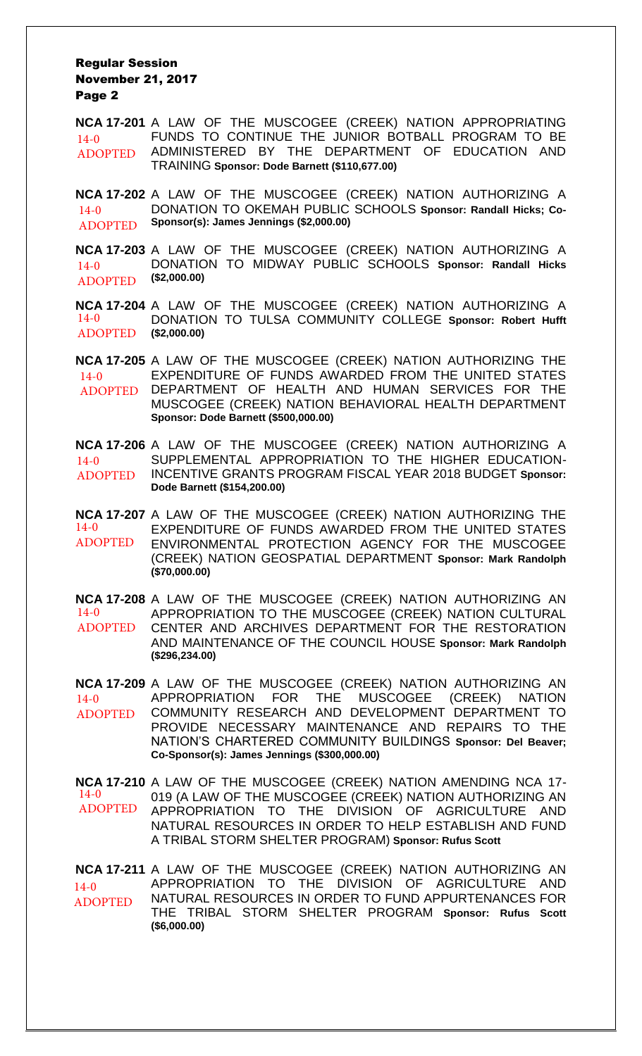#### Regular Session November 21, 2017 Page 2

**NCA 17-201** A LAW OF THE MUSCOGEE (CREEK) NATION APPROPRIATING FUNDS TO CONTINUE THE JUNIOR BOTBALL PROGRAM TO BE ADMINISTERED BY THE DEPARTMENT OF EDUCATION AND TRAINING **Sponsor: Dode Barnett (\$110,677.00)**  $14 - 0$ ADOPTED

**NCA 17-202** A LAW OF THE MUSCOGEE (CREEK) NATION AUTHORIZING A DONATION TO OKEMAH PUBLIC SCHOOLS **Sponsor: Randall Hicks; Co-Sponsor(s): James Jennings (\$2,000.00)** 14-0 ADOPTED

**NCA 17-203** A LAW OF THE MUSCOGEE (CREEK) NATION AUTHORIZING A DONATION TO MIDWAY PUBLIC SCHOOLS **Sponsor: Randall Hicks (\$2,000.00)**  $14-0$ ADOPTED

**NCA 17-204** A LAW OF THE MUSCOGEE (CREEK) NATION AUTHORIZING A DONATION TO TULSA COMMUNITY COLLEGE **Sponsor: Robert Hufft (\$2,000.00)**  $14-0$ ADOPTED

**NCA 17-205** A LAW OF THE MUSCOGEE (CREEK) NATION AUTHORIZING THE EXPENDITURE OF FUNDS AWARDED FROM THE UNITED STATES DEPARTMENT OF HEALTH AND HUMAN SERVICES FOR THE MUSCOGEE (CREEK) NATION BEHAVIORAL HEALTH DEPARTMENT **Sponsor: Dode Barnett (\$500,000.00)** 14-0 ADOPTED

**NCA 17-206** A LAW OF THE MUSCOGEE (CREEK) NATION AUTHORIZING A SUPPLEMENTAL APPROPRIATION TO THE HIGHER EDUCATION-INCENTIVE GRANTS PROGRAM FISCAL YEAR 2018 BUDGET **Sponsor: Dode Barnett (\$154,200.00)**  $14-0$ ADOPTED

**NCA 17-207** A LAW OF THE MUSCOGEE (CREEK) NATION AUTHORIZING THE EXPENDITURE OF FUNDS AWARDED FROM THE UNITED STATES ENVIRONMENTAL PROTECTION AGENCY FOR THE MUSCOGEE (CREEK) NATION GEOSPATIAL DEPARTMENT **Sponsor: Mark Randolph (\$70,000.00)** 14-0 ADOPTED

**NCA 17-208** A LAW OF THE MUSCOGEE (CREEK) NATION AUTHORIZING AN APPROPRIATION TO THE MUSCOGEE (CREEK) NATION CULTURAL CENTER AND ARCHIVES DEPARTMENT FOR THE RESTORATION AND MAINTENANCE OF THE COUNCIL HOUSE **Sponsor: Mark Randolph (\$296,234.00)** 14-0 ADOPTED

**NCA 17-209** A LAW OF THE MUSCOGEE (CREEK) NATION AUTHORIZING AN APPROPRIATION FOR THE MUSCOGEE (CREEK) NATION COMMUNITY RESEARCH AND DEVELOPMENT DEPARTMENT TO PROVIDE NECESSARY MAINTENANCE AND REPAIRS TO THE NATION'S CHARTERED COMMUNITY BUILDINGS **Sponsor: Del Beaver; Co-Sponsor(s): James Jennings (\$300,000.00)**  $14-0$ ADOPTED

**NCA 17-210** A LAW OF THE MUSCOGEE (CREEK) NATION AMENDING NCA 17- 019 (A LAW OF THE MUSCOGEE (CREEK) NATION AUTHORIZING AN APPROPRIATION TO THE DIVISION OF AGRICULTURE AND NATURAL RESOURCES IN ORDER TO HELP ESTABLISH AND FUND A TRIBAL STORM SHELTER PROGRAM) **Sponsor: Rufus Scott** 14-0 ADOPTED

**NCA 17-211** A LAW OF THE MUSCOGEE (CREEK) NATION AUTHORIZING AN APPROPRIATION TO THE DIVISION OF AGRICULTURE AND NATURAL RESOURCES IN ORDER TO FUND APPURTENANCES FOR THE TRIBAL STORM SHELTER PROGRAM **Sponsor: Rufus Scott (\$6,000.00)**  $14-0$ ADOPTED